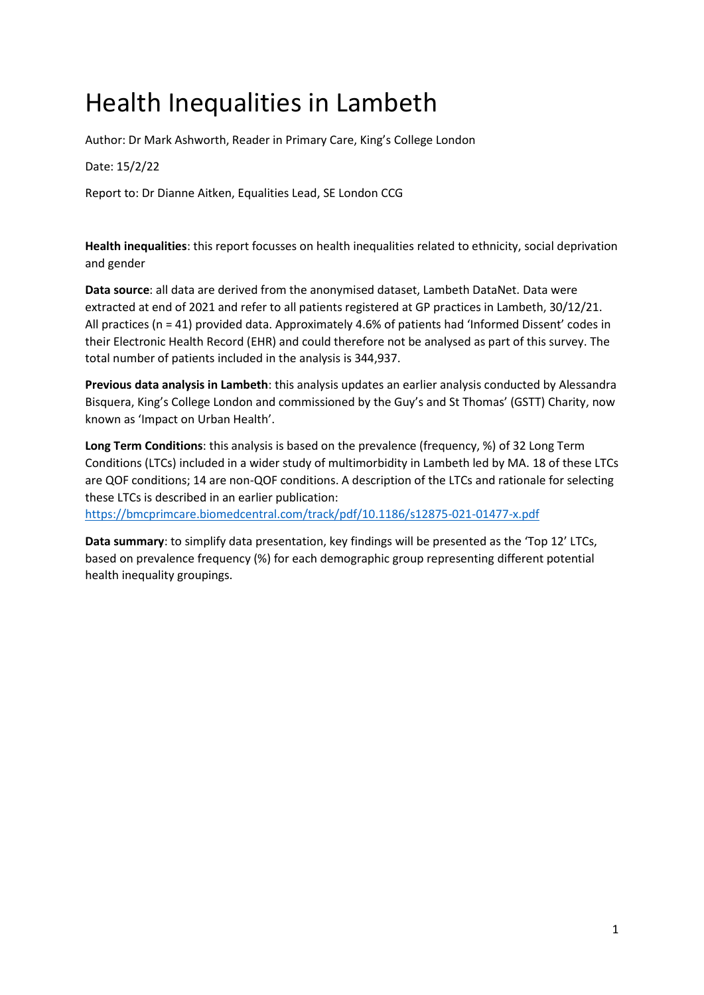# Health Inequalities in Lambeth

Author: Dr Mark Ashworth, Reader in Primary Care, King's College London

#### Date: 15/2/22

Report to: Dr Dianne Aitken, Equalities Lead, SE London CCG

**Health inequalities**: this report focusses on health inequalities related to ethnicity, social deprivation and gender

**Data source**: all data are derived from the anonymised dataset, Lambeth DataNet. Data were extracted at end of 2021 and refer to all patients registered at GP practices in Lambeth, 30/12/21. All practices (n = 41) provided data. Approximately 4.6% of patients had 'Informed Dissent' codes in their Electronic Health Record (EHR) and could therefore not be analysed as part of this survey. The total number of patients included in the analysis is 344,937.

**Previous data analysis in Lambeth**: this analysis updates an earlier analysis conducted by Alessandra Bisquera, King's College London and commissioned by the Guy's and St Thomas' (GSTT) Charity, now known as 'Impact on Urban Health'.

**Long Term Conditions**: this analysis is based on the prevalence (frequency, %) of 32 Long Term Conditions (LTCs) included in a wider study of multimorbidity in Lambeth led by MA. 18 of these LTCs are QOF conditions; 14 are non-QOF conditions. A description of the LTCs and rationale for selecting these LTCs is described in an earlier publication:

<https://bmcprimcare.biomedcentral.com/track/pdf/10.1186/s12875-021-01477-x.pdf>

**Data summary**: to simplify data presentation, key findings will be presented as the 'Top 12' LTCs, based on prevalence frequency (%) for each demographic group representing different potential health inequality groupings.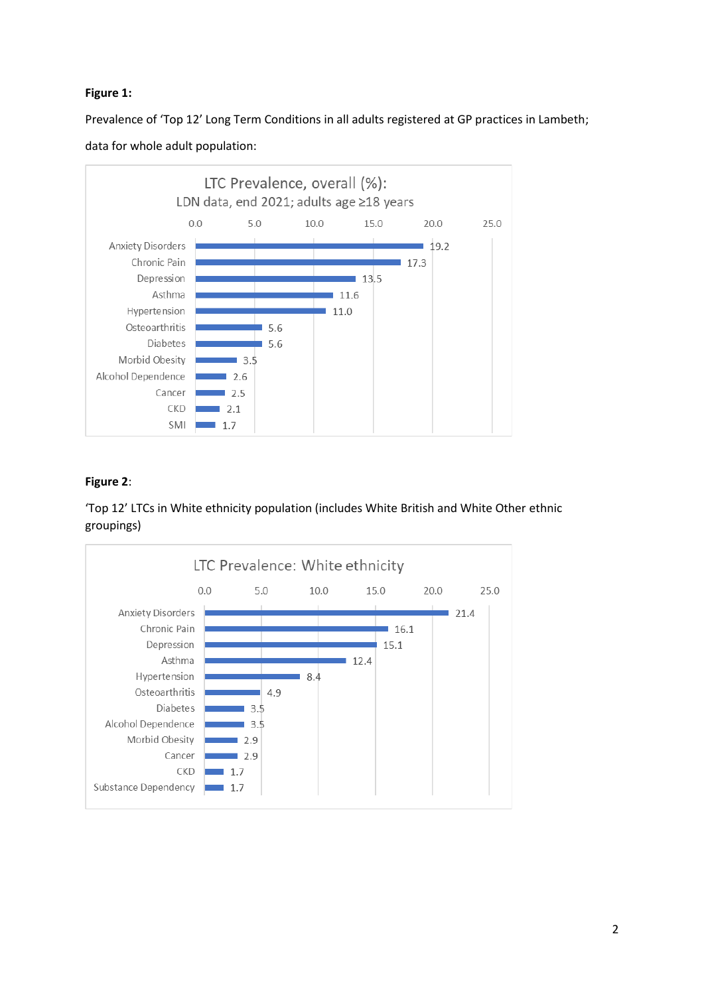## **Figure 1:**

Prevalence of 'Top 12' Long Term Conditions in all adults registered at GP practices in Lambeth;





# **Figure 2**:

'Top 12' LTCs in White ethnicity population (includes White British and White Other ethnic groupings)

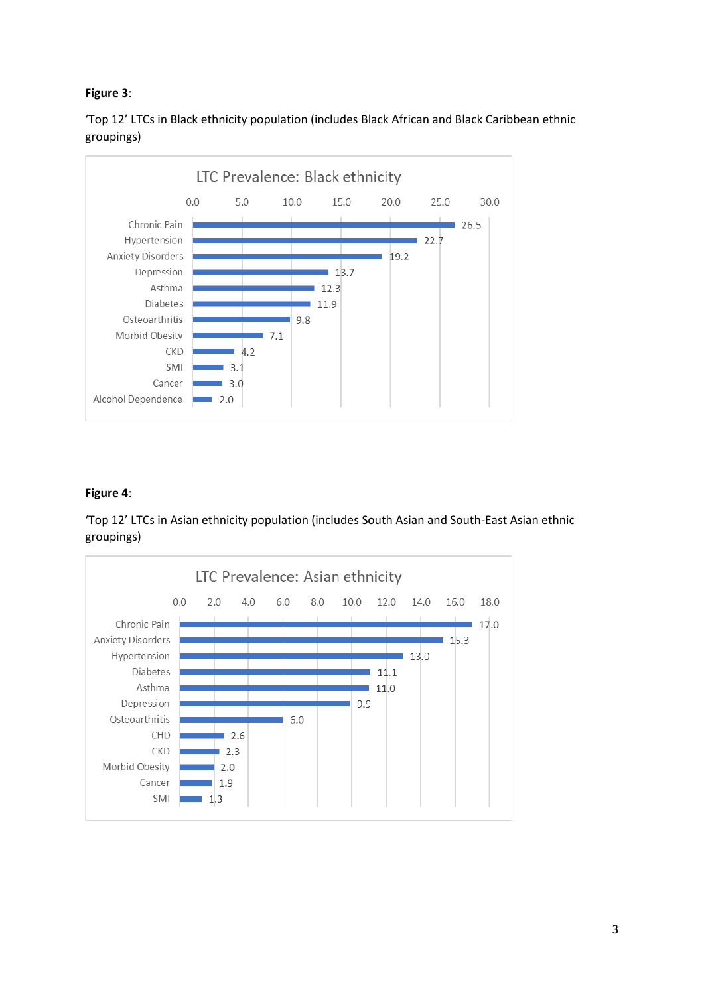# **Figure 3**:

'Top 12' LTCs in Black ethnicity population (includes Black African and Black Caribbean ethnic groupings)



# **Figure 4**:

'Top 12' LTCs in Asian ethnicity population (includes South Asian and South-East Asian ethnic groupings)

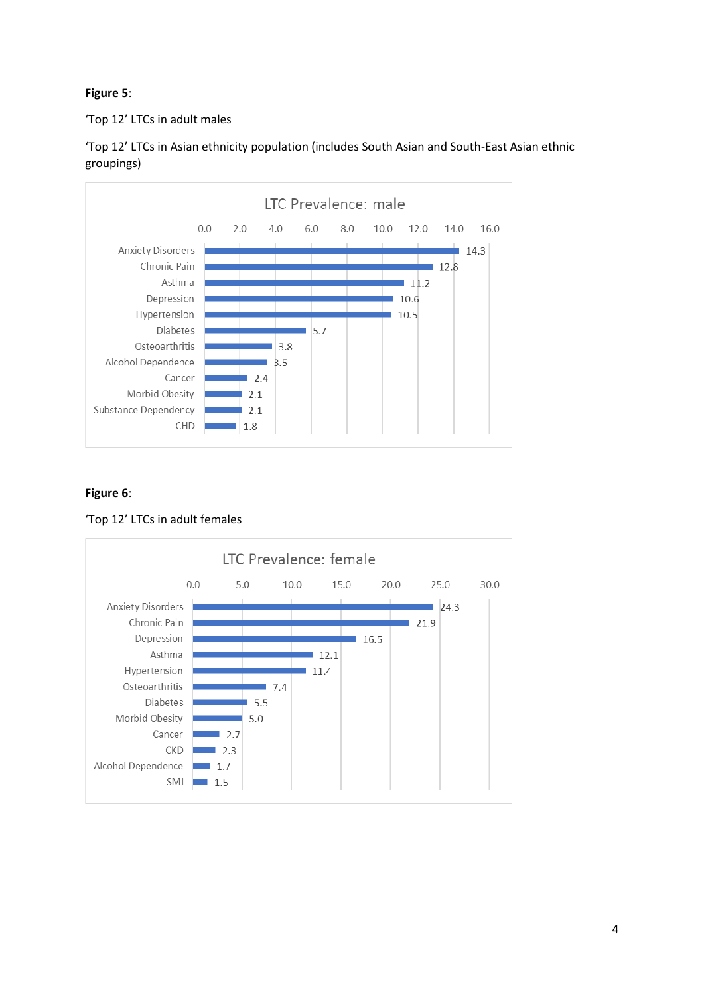## **Figure 5**:

'Top 12' LTCs in adult males



'Top 12' LTCs in Asian ethnicity population (includes South Asian and South-East Asian ethnic groupings)

# **Figure 6**:

'Top 12' LTCs in adult females

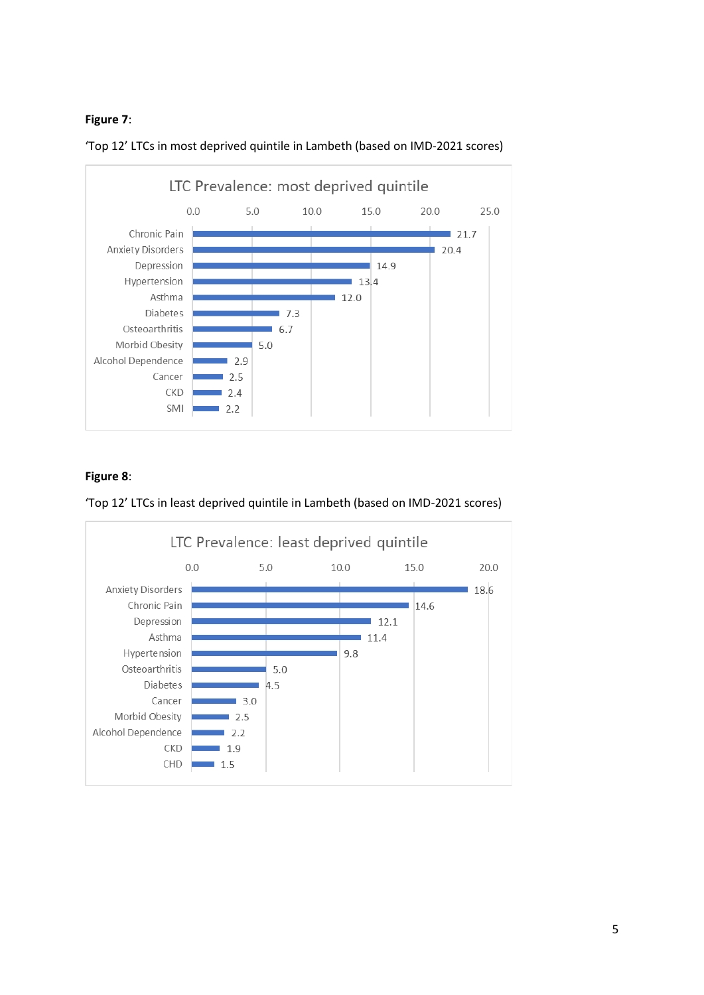#### **Figure 7**:



'Top 12' LTCs in most deprived quintile in Lambeth (based on IMD-2021 scores)

# **Figure 8**:

'Top 12' LTCs in least deprived quintile in Lambeth (based on IMD-2021 scores)

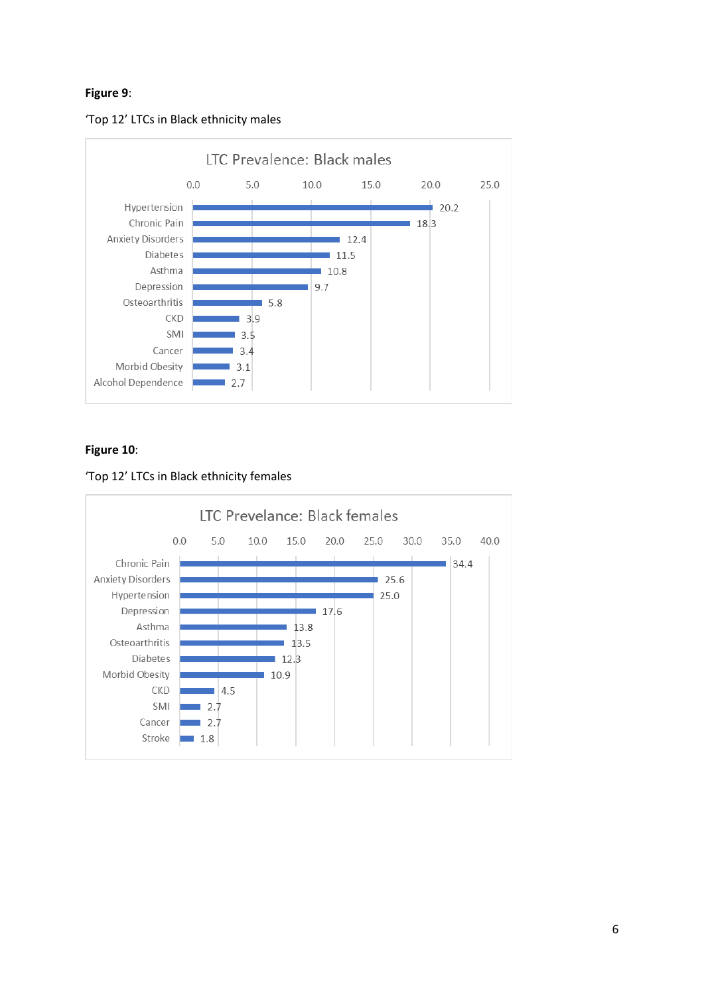#### **Figure 9**:





# **Figure 10**:



#### 'Top 12' LTCs in Black ethnicity females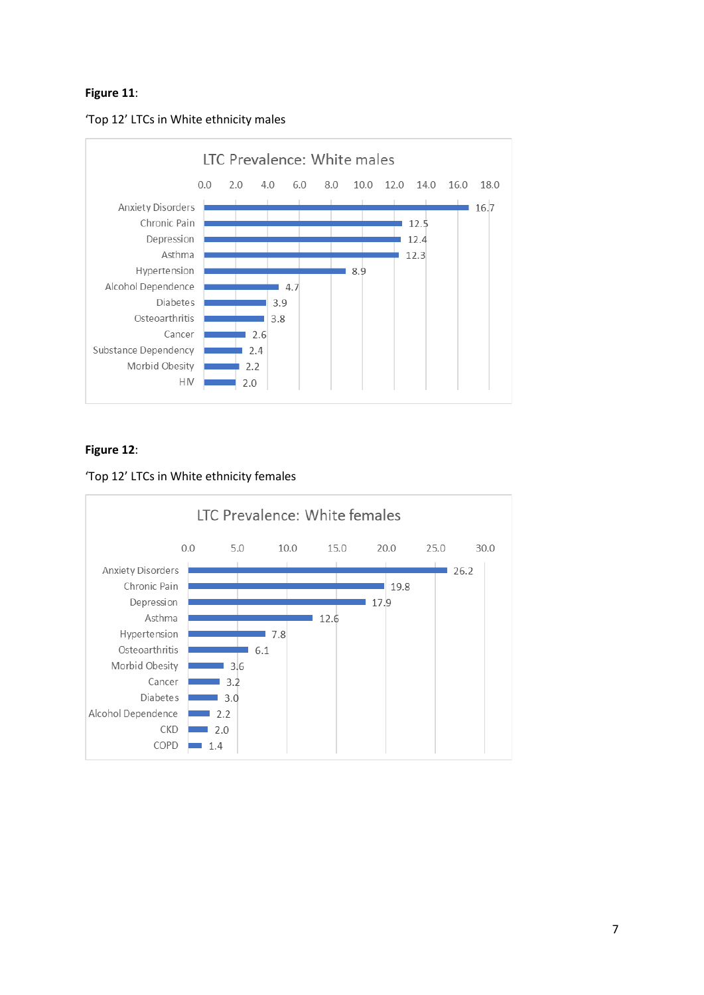## **Figure 11**:





# **Figure 12**:



#### 'Top 12' LTCs in White ethnicity females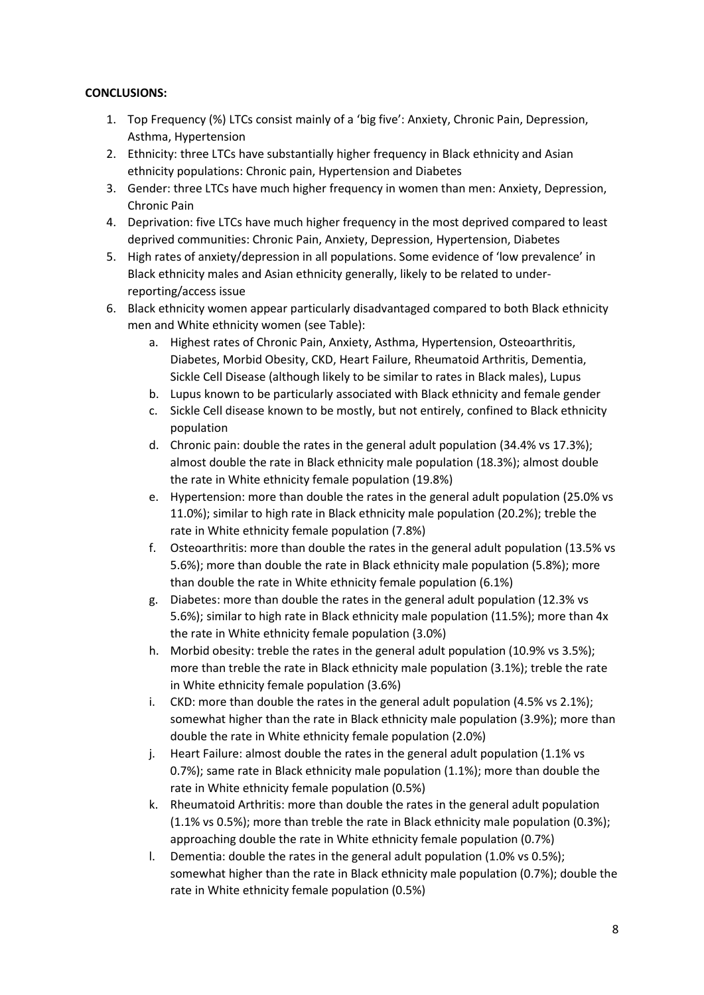#### **CONCLUSIONS:**

- 1. Top Frequency (%) LTCs consist mainly of a 'big five': Anxiety, Chronic Pain, Depression, Asthma, Hypertension
- 2. Ethnicity: three LTCs have substantially higher frequency in Black ethnicity and Asian ethnicity populations: Chronic pain, Hypertension and Diabetes
- 3. Gender: three LTCs have much higher frequency in women than men: Anxiety, Depression, Chronic Pain
- 4. Deprivation: five LTCs have much higher frequency in the most deprived compared to least deprived communities: Chronic Pain, Anxiety, Depression, Hypertension, Diabetes
- 5. High rates of anxiety/depression in all populations. Some evidence of 'low prevalence' in Black ethnicity males and Asian ethnicity generally, likely to be related to underreporting/access issue
- 6. Black ethnicity women appear particularly disadvantaged compared to both Black ethnicity men and White ethnicity women (see Table):
	- a. Highest rates of Chronic Pain, Anxiety, Asthma, Hypertension, Osteoarthritis, Diabetes, Morbid Obesity, CKD, Heart Failure, Rheumatoid Arthritis, Dementia, Sickle Cell Disease (although likely to be similar to rates in Black males), Lupus
	- b. Lupus known to be particularly associated with Black ethnicity and female gender
	- c. Sickle Cell disease known to be mostly, but not entirely, confined to Black ethnicity population
	- d. Chronic pain: double the rates in the general adult population (34.4% vs 17.3%); almost double the rate in Black ethnicity male population (18.3%); almost double the rate in White ethnicity female population (19.8%)
	- e. Hypertension: more than double the rates in the general adult population (25.0% vs 11.0%); similar to high rate in Black ethnicity male population (20.2%); treble the rate in White ethnicity female population (7.8%)
	- f. Osteoarthritis: more than double the rates in the general adult population (13.5% vs 5.6%); more than double the rate in Black ethnicity male population (5.8%); more than double the rate in White ethnicity female population (6.1%)
	- g. Diabetes: more than double the rates in the general adult population (12.3% vs 5.6%); similar to high rate in Black ethnicity male population (11.5%); more than 4x the rate in White ethnicity female population (3.0%)
	- h. Morbid obesity: treble the rates in the general adult population (10.9% vs 3.5%); more than treble the rate in Black ethnicity male population (3.1%); treble the rate in White ethnicity female population (3.6%)
	- i. CKD: more than double the rates in the general adult population (4.5% vs 2.1%); somewhat higher than the rate in Black ethnicity male population (3.9%); more than double the rate in White ethnicity female population (2.0%)
	- j. Heart Failure: almost double the rates in the general adult population (1.1% vs 0.7%); same rate in Black ethnicity male population (1.1%); more than double the rate in White ethnicity female population (0.5%)
	- k. Rheumatoid Arthritis: more than double the rates in the general adult population (1.1% vs 0.5%); more than treble the rate in Black ethnicity male population (0.3%); approaching double the rate in White ethnicity female population (0.7%)
	- l. Dementia: double the rates in the general adult population (1.0% vs 0.5%); somewhat higher than the rate in Black ethnicity male population (0.7%); double the rate in White ethnicity female population (0.5%)